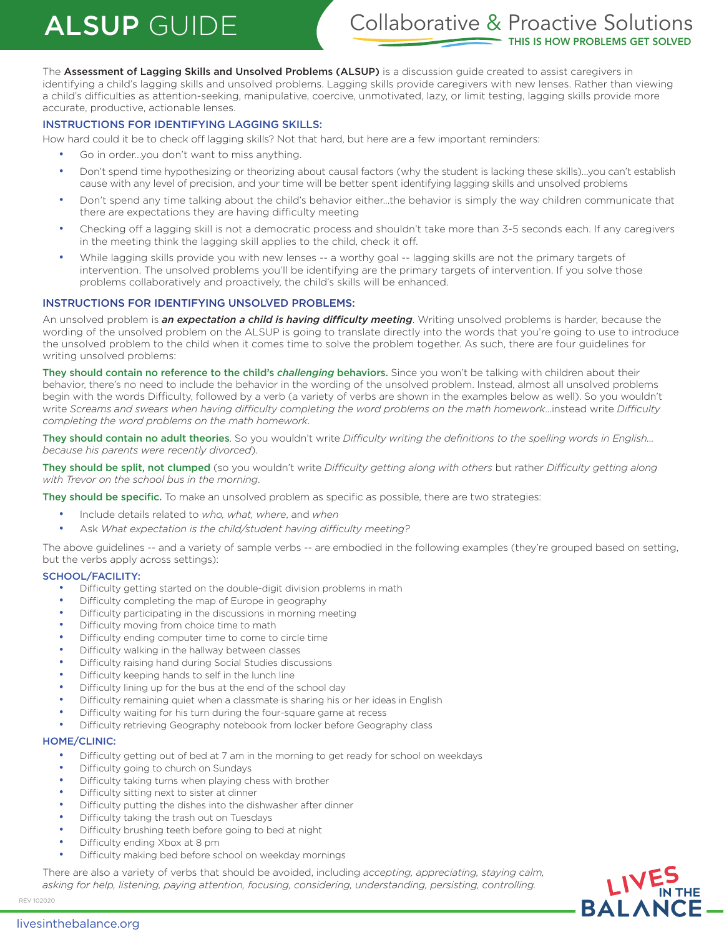## ALSUP GUIDE Collaborative & Proactive Solutions **IS IS HOW PROBLEMS GET SOLVED**

The Assessment of Lagging Skills and Unsolved Problems (ALSUP) is a discussion guide created to assist caregivers in identifying a child's lagging skills and unsolved problems. Lagging skills provide caregivers with new lenses. Rather than viewing a child's difficulties as attention-seeking, manipulative, coercive, unmotivated, lazy, or limit testing, lagging skills provide more accurate, productive, actionable lenses.

#### INSTRUCTIONS FOR IDENTIFYING LAGGING SKILLS:

How hard could it be to check off lagging skills? Not that hard, but here are a few important reminders:

- Go in order...you don't want to miss anything.
- Don't spend time hypothesizing or theorizing about causal factors (why the student is lacking these skills)…you can't establish cause with any level of precision, and your time will be better spent identifying lagging skills and unsolved problems
- Don't spend any time talking about the child's behavior either…the behavior is simply the way children communicate that there are expectations they are having difficulty meeting
- Checking off a lagging skill is not a democratic process and shouldn't take more than 3-5 seconds each. If any caregivers in the meeting think the lagging skill applies to the child, check it off.
- While lagging skills provide you with new lenses -- a worthy goal -- lagging skills are not the primary targets of intervention. The unsolved problems you'll be identifying are the primary targets of intervention. If you solve those problems collaboratively and proactively, the child's skills will be enhanced.

#### INSTRUCTIONS FOR IDENTIFYING UNSOLVED PROBLEMS:

An unsolved problem is *an expectation a child is having difficulty meeting*. Writing unsolved problems is harder, because the wording of the unsolved problem on the ALSUP is going to translate directly into the words that you're going to use to introduce the unsolved problem to the child when it comes time to solve the problem together. As such, there are four guidelines for writing unsolved problems:

They should contain no reference to the child's *challenging* behaviors. Since you won't be talking with children about their behavior, there's no need to include the behavior in the wording of the unsolved problem. Instead, almost all unsolved problems begin with the words Difficulty, followed by a verb (a variety of verbs are shown in the examples below as well). So you wouldn't write *Screams and swears when having difficulty completing the word problems on the math homework*…instead write *Difficulty completing the word problems on the math homework*.

They should contain no adult theories. So you wouldn't write *Difficulty writing the definitions to the spelling words in English… because his parents were recently divorced*).

They should be split, not clumped (so you wouldn't write *Difficulty getting along with others* but rather *Difficulty getting along with Trevor on the school bus in the morning*.

They should be specific. To make an unsolved problem as specific as possible, there are two strategies:

- Include details related to *who, what, where*, and *when*
- Ask *What expectation is the child/student having difficulty meeting?*

The above guidelines -- and a variety of sample verbs -- are embodied in the following examples (they're grouped based on setting, but the verbs apply across settings):

#### SCHOOL/FACILITY:

- Difficulty getting started on the double-digit division problems in math
- Difficulty completing the map of Europe in geography
- Difficulty participating in the discussions in morning meeting
- Difficulty moving from choice time to math
- Difficulty ending computer time to come to circle time
- Difficulty walking in the hallway between classes
- Difficulty raising hand during Social Studies discussions
- Difficulty keeping hands to self in the lunch line
- Difficulty lining up for the bus at the end of the school day
- Difficulty remaining quiet when a classmate is sharing his or her ideas in English
- Difficulty waiting for his turn during the four-square game at recess
- Difficulty retrieving Geography notebook from locker before Geography class

#### HOME/CLINIC:

- Difficulty getting out of bed at 7 am in the morning to get ready for school on weekdays
- Difficulty going to church on Sundays
- Difficulty taking turns when playing chess with brother
- Difficulty sitting next to sister at dinner
- Difficulty putting the dishes into the dishwasher after dinner
- Difficulty taking the trash out on Tuesdays
- Difficulty brushing teeth before going to bed at night
- Difficulty ending Xbox at 8 pm
- Difficulty making bed before school on weekday mornings

There are also a variety of verbs that should be avoided, including *accepting, appreciating, staying calm, asking for help, listening, paying attention, focusing, considering, understanding, persisting, controlling.*



REV 102020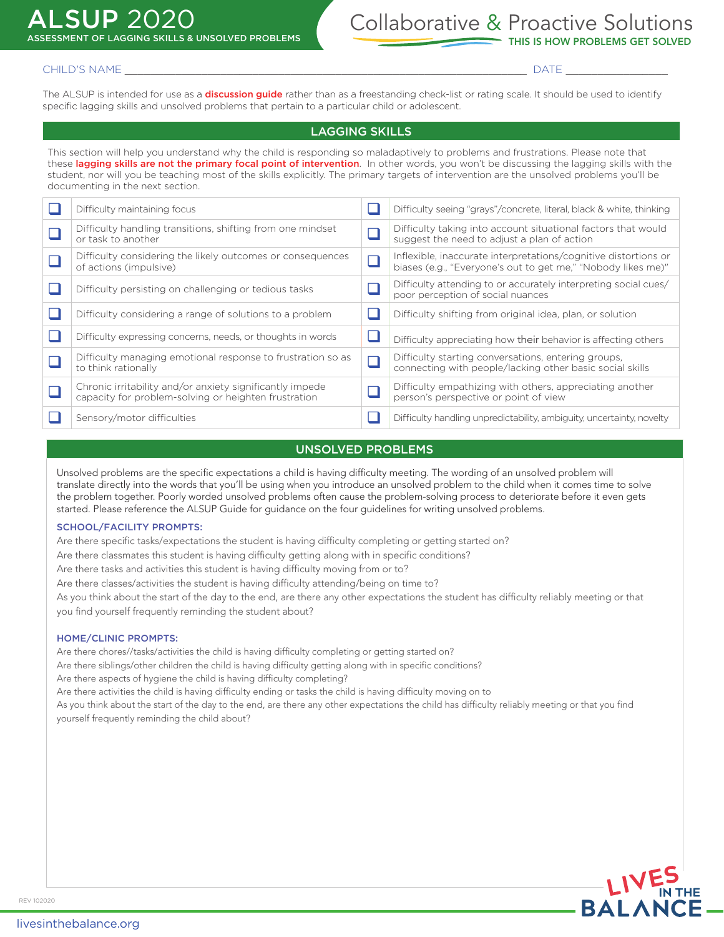# **SUP 2020**

## Collaborative & Proactive Solutions ASSESSMENT OF LAGGING SKILLS & UNSOLVED PROBLEMS THIS IS HOW PROBLEMS GET SOLVED

#### CHILD'S NAME \_\_\_\_\_\_\_\_\_\_\_\_\_\_\_\_\_\_\_\_\_\_\_\_\_\_\_\_\_\_\_\_\_\_\_\_\_\_\_\_\_\_\_\_\_\_\_\_\_\_\_\_\_\_\_\_\_\_\_\_\_\_\_ DATE \_\_\_\_\_\_\_\_\_\_\_\_\_\_\_\_

The ALSUP is intended for use as a **discussion guide** rather than as a freestanding check-list or rating scale. It should be used to identify specific lagging skills and unsolved problems that pertain to a particular child or adolescent.

#### LAGGING SKILLS

This section will help you understand why the child is responding so maladaptively to problems and frustrations. Please note that these lagging skills are not the primary focal point of intervention. In other words, you won't be discussing the lagging skills with the student, nor will you be teaching most of the skills explicitly. The primary targets of intervention are the unsolved problems you'll be documenting in the next section.

| Difficulty maintaining focus                                                                                     |        | Difficulty seeing "grays"/concrete, literal, black & white, thinking                                                            |
|------------------------------------------------------------------------------------------------------------------|--------|---------------------------------------------------------------------------------------------------------------------------------|
| Difficulty handling transitions, shifting from one mindset<br>or task to another                                 |        | Difficulty taking into account situational factors that would<br>suggest the need to adjust a plan of action                    |
| Difficulty considering the likely outcomes or consequences<br>of actions (impulsive)                             | □      | Inflexible, inaccurate interpretations/cognitive distortions or<br>biases (e.g., "Everyone's out to get me," "Nobody likes me)" |
| Difficulty persisting on challenging or tedious tasks                                                            |        | Difficulty attending to or accurately interpreting social cues/<br>poor perception of social nuances                            |
| Difficulty considering a range of solutions to a problem                                                         |        | Difficulty shifting from original idea, plan, or solution                                                                       |
| Difficulty expressing concerns, needs, or thoughts in words                                                      |        | Difficulty appreciating how their behavior is affecting others                                                                  |
| Difficulty managing emotional response to frustration so as<br>to think rationally                               | $\Box$ | Difficulty starting conversations, entering groups,<br>connecting with people/lacking other basic social skills                 |
| Chronic irritability and/or anxiety significantly impede<br>capacity for problem-solving or heighten frustration |        | Difficulty empathizing with others, appreciating another<br>person's perspective or point of view                               |
| Sensory/motor difficulties                                                                                       |        | Difficulty handling unpredictability, ambiguity, uncertainty, novelty                                                           |

#### UNSOLVED PROBLEMS

Unsolved problems are the specific expectations a child is having difficulty meeting. The wording of an unsolved problem will translate directly into the words that you'll be using when you introduce an unsolved problem to the child when it comes time to solve the problem together. Poorly worded unsolved problems often cause the problem-solving process to deteriorate before it even gets started. Please reference the ALSUP Guide for guidance on the four guidelines for writing unsolved problems.

#### SCHOOL/FACILITY PROMPTS:

Are there specific tasks/expectations the student is having difficulty completing or getting started on?

Are there classmates this student is having difficulty getting along with in specific conditions?

Are there tasks and activities this student is having difficulty moving from or to?

Are there classes/activities the student is having difficulty attending/being on time to?

As you think about the start of the day to the end, are there any other expectations the student has difficulty reliably meeting or that you find yourself frequently reminding the student about?

#### HOME/CLINIC PROMPTS:

Are there chores//tasks/activities the child is having difficulty completing or getting started on?

Are there siblings/other children the child is having difficulty getting along with in specific conditions?

Are there aspects of hygiene the child is having difficulty completing?

Are there activities the child is having difficulty ending or tasks the child is having difficulty moving on to

As you think about the start of the day to the end, are there any other expectations the child has difficulty reliably meeting or that you find yourself frequently reminding the child about?

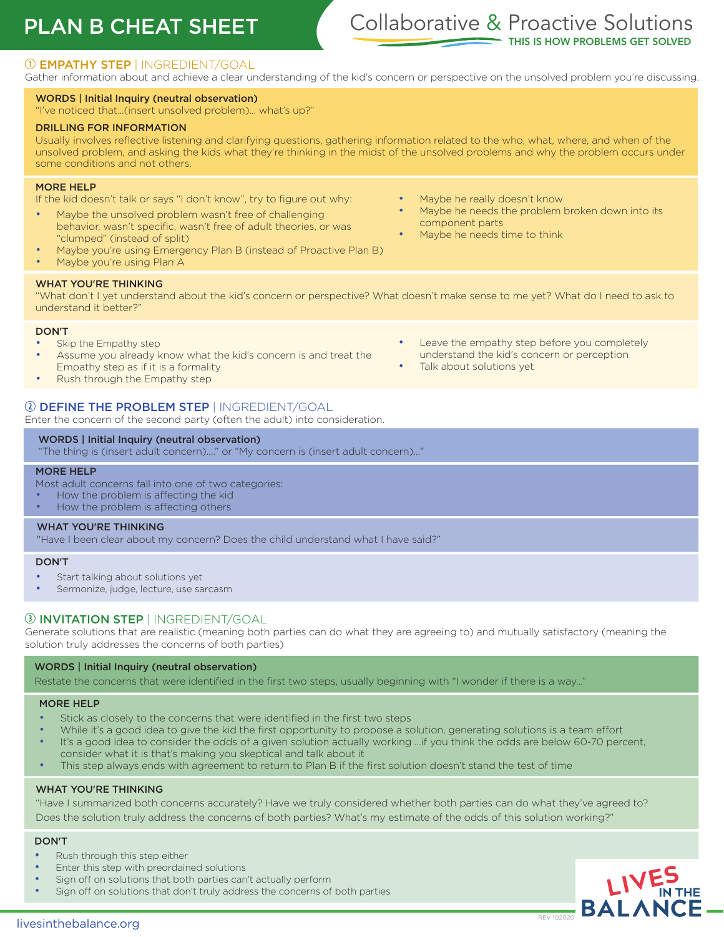## PLAN B CHEAT SHEET

## Collaborative & Proactive Solutions **IIS IS HOW PROBLEMS GET SOLVED**

### EMPATHY STEP | INGREDIENT/GOAL

Gather information about and achieve a clear understanding of the kid's concern or perspective on the unsolved problem you're discussing.

#### WORDS | Initial Inquiry (neutral observation)

"I've noticed that...(insert unsolved problem)... what's up?"

#### DRILLING FOR INFORMATION

Usually involves reflective listening and clarifying questions, gathering information related to the who, what, where, and when of the unsolved problem, and asking the kids what they're thinking in the midst of the unsolved problems and why the problem occurs under some conditions and not others.

#### MORE HELP

If the kid doesn't talk or says "I don't know", try to figure out why:

- Maybe the unsolved problem wasn't free of challenging behavior, wasn't specific, wasn't free of adult theories, or was "clumped" (instead of split)
- Maybe you're using Emergency Plan B (instead of Proactive Plan B)
- Maybe you're using Plan A

#### WHAT YOU'RE THINKING

"What don't I yet understand about the kid's concern or perspective? What doesn't make sense to me yet? What do I need to ask to understand it better?"

#### DON'T

- Skip the Empathy step
- Assume you already know what the kid's concern is and treat the Empathy step as if it is a formality
- Rush through the Empathy step

#### DEFINE THE PROBLEM STEP | INGREDIENT/GOAL

Enter the concern of the second party (often the adult) into consideration.

#### WORDS | Initial Inquiry (neutral observation)

"The thing is (insert adult concern)…." or "My concern is (insert adult concern)…"

#### MORE HELP

- Most adult concerns fall into one of two categories:
- How the problem is affecting the kid
- How the problem is affecting others

#### WHAT YOU'RE THINKING

"Have I been clear about my concern? Does the child understand what I have said?"

#### DON'T

- Start talking about solutions yet
- Sermonize, judge, lecture, use sarcasm

#### **3 INVITATION STEP | INGREDIENT/GOAL**

Generate solutions that are realistic (meaning both parties can do what they are agreeing to) and mutually satisfactory (meaning the solution truly addresses the concerns of both parties)

#### WORDS | Initial Inquiry (neutral observation)

Restate the concerns that were identified in the first two steps, usually beginning with "I wonder if there is a way…"

#### MORE HELP

- Stick as closely to the concerns that were identified in the first two steps
- While it's a good idea to give the kid the first opportunity to propose a solution, generating solutions is a team effort
- It's a good idea to consider the odds of a given solution actually working ...if you think the odds are below 60-70 percent, consider what it is that's making you skeptical and talk about it
- This step always ends with agreement to return to Plan B if the first solution doesn't stand the test of time

#### WHAT YOU'RE THINKING

"Have I summarized both concerns accurately? Have we truly considered whether both parties can do what they've agreed to? Does the solution truly address the concerns of both parties? What's my estimate of the odds of this solution working?"

#### DON'T

- Rush through this step either
- Enter this step with preordained solutions
- Sign off on solutions that both parties can't actually perform
- Sign off on solutions that don't truly address the concerns of both parties
- Maybe he really doesn't know
- Maybe he needs the problem broken down into its component parts
- Maybe he needs time to think

Leave the empathy step before you completely understand the kid's concern or perception Talk about solutions yet